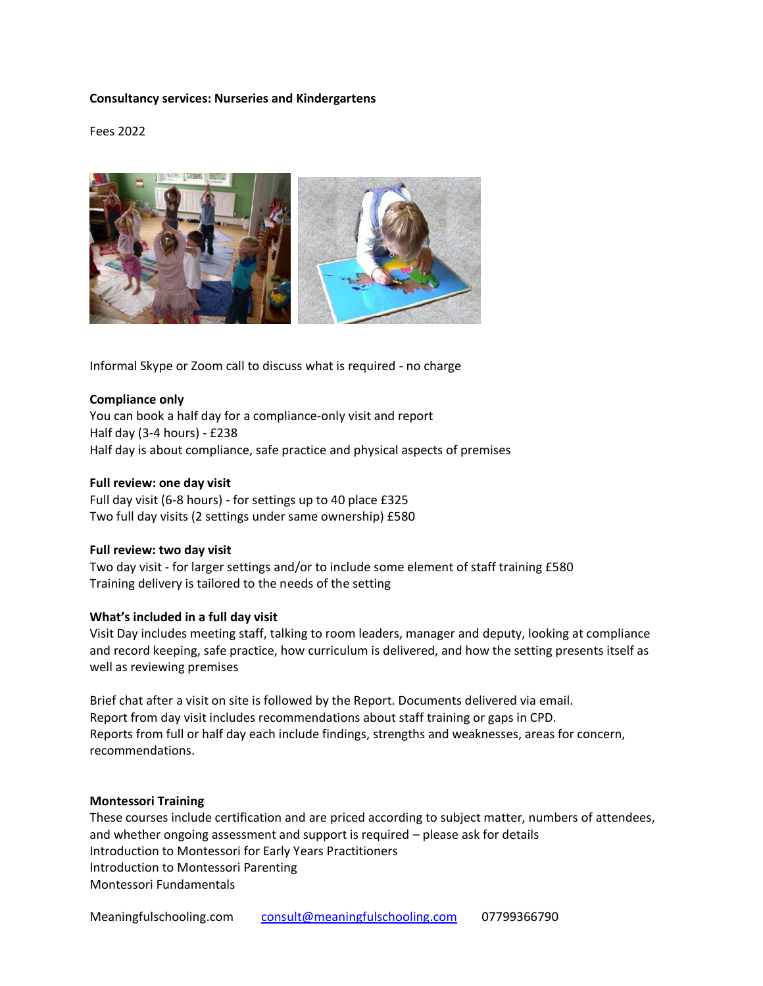# **Consultancy services: Nurseries and Kindergartens**

Fees 2022



Informal Skype or Zoom call to discuss what is required - no charge

#### **Compliance only**

You can book a half day for a compliance-only visit and report Half day (3-4 hours) - £238 Half day is about compliance, safe practice and physical aspects of premises

#### **Full review: one day visit**

Full day visit (6-8 hours) - for settings up to 40 place £325 Two full day visits (2 settings under same ownership) £580

#### **Full review: two day visit**

Two day visit - for larger settings and/or to include some element of staff training £580 Training delivery is tailored to the needs of the setting

#### **What's included in a full day visit**

Visit Day includes meeting staff, talking to room leaders, manager and deputy, looking at compliance and record keeping, safe practice, how curriculum is delivered, and how the setting presents itself as well as reviewing premises

Brief chat after a visit on site is followed by the Report. Documents delivered via email. Report from day visit includes recommendations about staff training or gaps in CPD. Reports from full or half day each include findings, strengths and weaknesses, areas for concern, recommendations.

#### **Montessori Training**

These courses include certification and are priced according to subject matter, numbers of attendees, and whether ongoing assessment and support is required – please ask for details Introduction to Montessori for Early Years Practitioners Introduction to Montessori Parenting Montessori Fundamentals